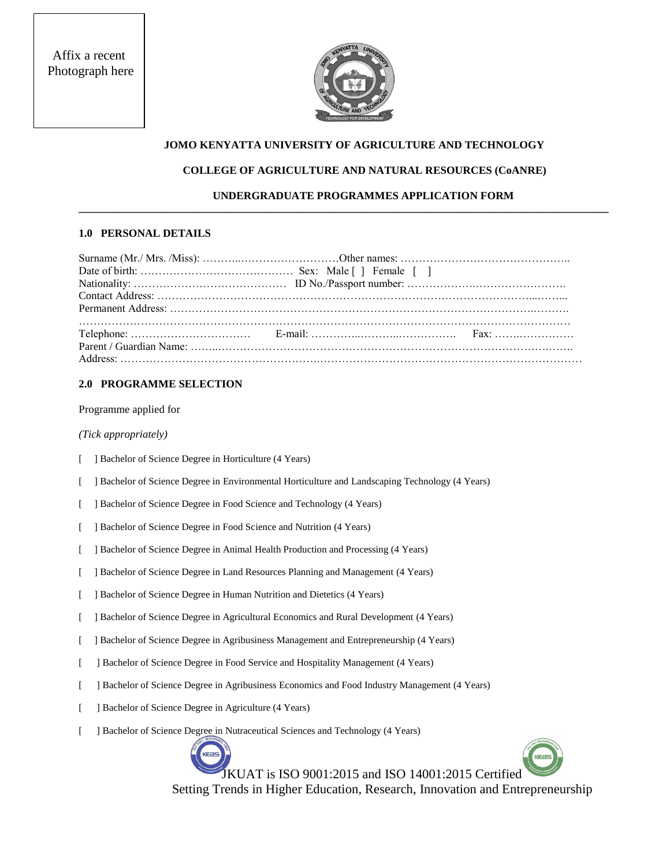Affix a recent Photograph here



## **JOMO KENYATTA UNIVERSITY OF AGRICULTURE AND TECHNOLOGY**

## **COLLEGE OF AGRICULTURE AND NATURAL RESOURCES (CoANRE)**

## **UNDERGRADUATE PROGRAMMES APPLICATION FORM**

**\_\_\_\_\_\_\_\_\_\_\_\_\_\_\_\_\_\_\_\_\_\_\_\_\_\_\_\_\_\_\_\_\_\_\_\_\_\_\_\_\_\_\_\_\_\_\_\_\_\_\_\_\_\_\_\_\_\_\_\_\_\_\_\_\_\_\_\_\_\_\_\_\_\_\_\_\_\_\_\_\_\_\_\_\_\_\_\_\_\_\_\_\_\_\_\_\_**

#### **1.0 PERSONAL DETAILS**

#### **2.0 PROGRAMME SELECTION**

#### Programme applied for

*(Tick appropriately)*

- [ ] Bachelor of Science Degree in Horticulture (4 Years)
- [ ] Bachelor of Science Degree in Environmental Horticulture and Landscaping Technology (4 Years)
- [ ] Bachelor of Science Degree in Food Science and Technology (4 Years)
- [ ] Bachelor of Science Degree in Food Science and Nutrition (4 Years)
- [ ] Bachelor of Science Degree in Animal Health Production and Processing (4 Years)
- [ ] Bachelor of Science Degree in Land Resources Planning and Management (4 Years)
- [ ] Bachelor of Science Degree in Human Nutrition and Dietetics (4 Years)
- [ ] Bachelor of Science Degree in Agricultural Economics and Rural Development (4 Years)
- [ ] Bachelor of Science Degree in Agribusiness Management and Entrepreneurship (4 Years)
- [ ] Bachelor of Science Degree in Food Service and Hospitality Management (4 Years)
- [ ] Bachelor of Science Degree in Agribusiness Economics and Food Industry Management (4 Years)
- [ ] Bachelor of Science Degree in Agriculture (4 Years)
- [ ] Bachelor of Science Degree in Nutraceutical Sciences and Technology (4 Years)



 JKUAT is ISO 9001:2015 and ISO 14001:2015 Certified Setting Trends in Higher Education, Research, Innovation and Entrepreneurship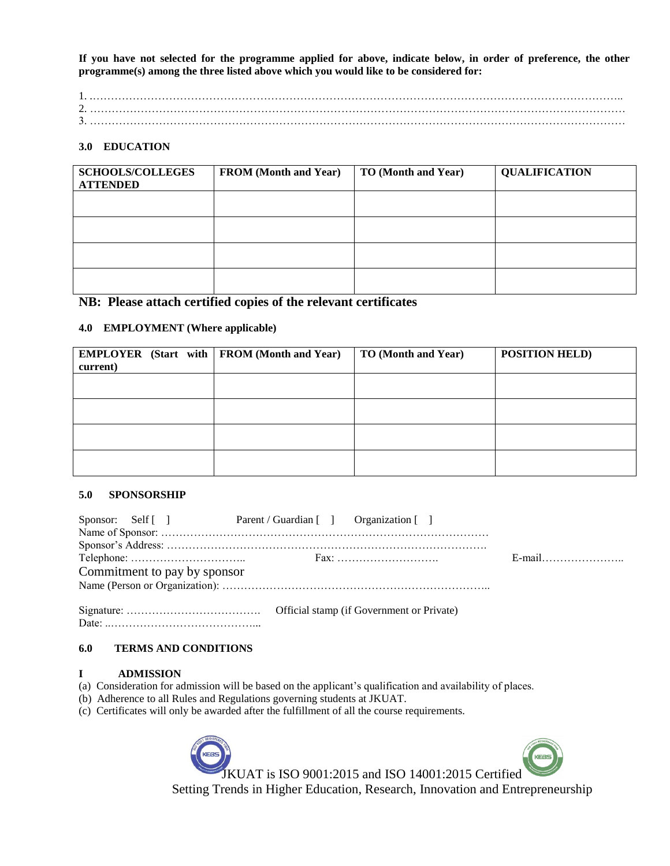**If you have not selected for the programme applied for above, indicate below, in order of preference, the other programme(s) among the three listed above which you would like to be considered for:**

1. .……………………………………………………………………………………………………………………………….. 2. ………………………………………………………………………………………………………………………………… 3. …………………………………………………………………………………………………………………………………

#### **3.0 EDUCATION**

| <b>SCHOOLS/COLLEGES</b><br><b>ATTENDED</b> | <b>FROM</b> (Month and Year) | <b>TO (Month and Year)</b> | <b>QUALIFICATION</b> |
|--------------------------------------------|------------------------------|----------------------------|----------------------|
|                                            |                              |                            |                      |
|                                            |                              |                            |                      |
|                                            |                              |                            |                      |
|                                            |                              |                            |                      |

# **NB: Please attach certified copies of the relevant certificates**

#### **4.0 EMPLOYMENT (Where applicable)**

|          |  | <b>EMPLOYER</b> (Start with $\vert$ FROM (Month and Year) | <b>TO (Month and Year)</b> | <b>POSITION HELD)</b> |
|----------|--|-----------------------------------------------------------|----------------------------|-----------------------|
| current) |  |                                                           |                            |                       |
|          |  |                                                           |                            |                       |
|          |  |                                                           |                            |                       |
|          |  |                                                           |                            |                       |
|          |  |                                                           |                            |                       |
|          |  |                                                           |                            |                       |
|          |  |                                                           |                            |                       |
|          |  |                                                           |                            |                       |
|          |  |                                                           |                            |                       |

#### **5.0 SPONSORSHIP**

| Sponsor: Self [] Parent / Guardian [] Organization [] |           |
|-------------------------------------------------------|-----------|
|                                                       |           |
|                                                       |           |
|                                                       | $E$ -mail |
| Commitment to pay by sponsor                          |           |
|                                                       |           |
|                                                       |           |
|                                                       |           |

#### **6.0 TERMS AND CONDITIONS**

## **I ADMISSION**

(a) Consideration for admission will be based on the applicant's qualification and availability of places.

(b) Adherence to all Rules and Regulations governing students at JKUAT.

(c) Certificates will only be awarded after the fulfillment of all the course requirements.